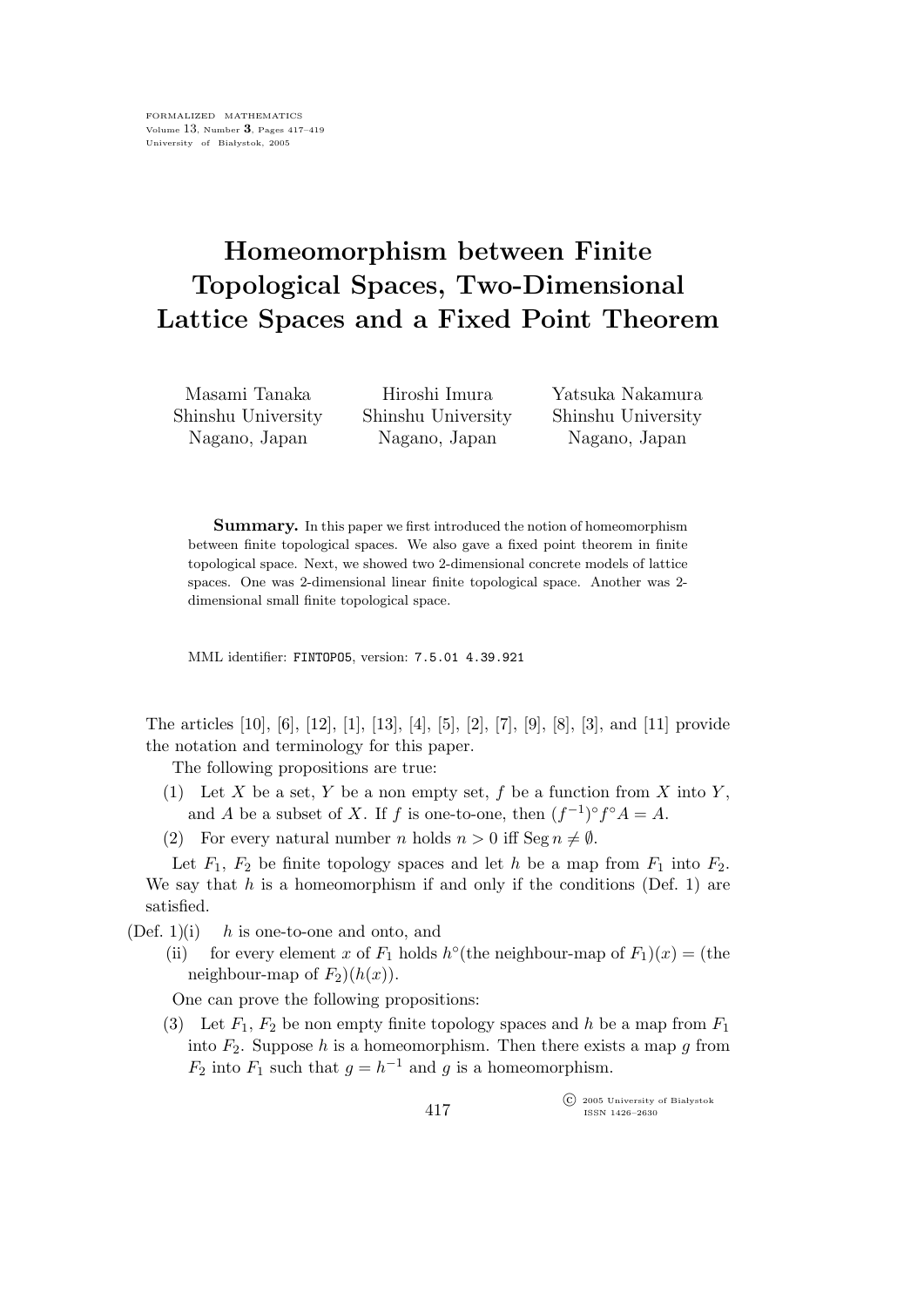## Homeomorphism between Finite Topological Spaces, Two-Dimensional Lattice Spaces and a Fixed Point Theorem

Masami Tanaka Shinshu University Nagano, Japan

Hiroshi Imura Shinshu University Nagano, Japan

Yatsuka Nakamura Shinshu University Nagano, Japan

Summary. In this paper we first introduced the notion of homeomorphism between finite topological spaces. We also gave a fixed point theorem in finite topological space. Next, we showed two 2-dimensional concrete models of lattice spaces. One was 2-dimensional linear finite topological space. Another was 2 dimensional small finite topological space.

MML identifier: FINTOPO5, version: 7.5.01 4.39.921

The articles [10], [6], [12], [1], [13], [4], [5], [2], [7], [9], [8], [3], and [11] provide the notation and terminology for this paper.

The following propositions are true:

- (1) Let X be a set, Y be a non empty set, f be a function from X into Y, and A be a subset of X. If f is one-to-one, then  $(f^{-1})^{\circ} f^{\circ} A = A$ .
- (2) For every natural number n holds  $n > 0$  iff Seg  $n \neq \emptyset$ .

Let  $F_1$ ,  $F_2$  be finite topology spaces and let h be a map from  $F_1$  into  $F_2$ . We say that  $h$  is a homeomorphism if and only if the conditions (Def. 1) are satisfied.

 $(Def. 1)(i)$  h is one-to-one and onto, and

(ii) for every element x of  $F_1$  holds  $h^{\circ}$  (the neighbour-map of  $F_1(x) =$  (the neighbour-map of  $F_2$ )( $h(x)$ ).

One can prove the following propositions:

(3) Let  $F_1, F_2$  be non empty finite topology spaces and h be a map from  $F_1$ into  $F_2$ . Suppose h is a homeomorphism. Then there exists a map g from  $F_2$  into  $F_1$  such that  $g = h^{-1}$  and g is a homeomorphism.

> $\widehat{\mathbb{C}}$  2005 University of Białystok ISSN 1426–2630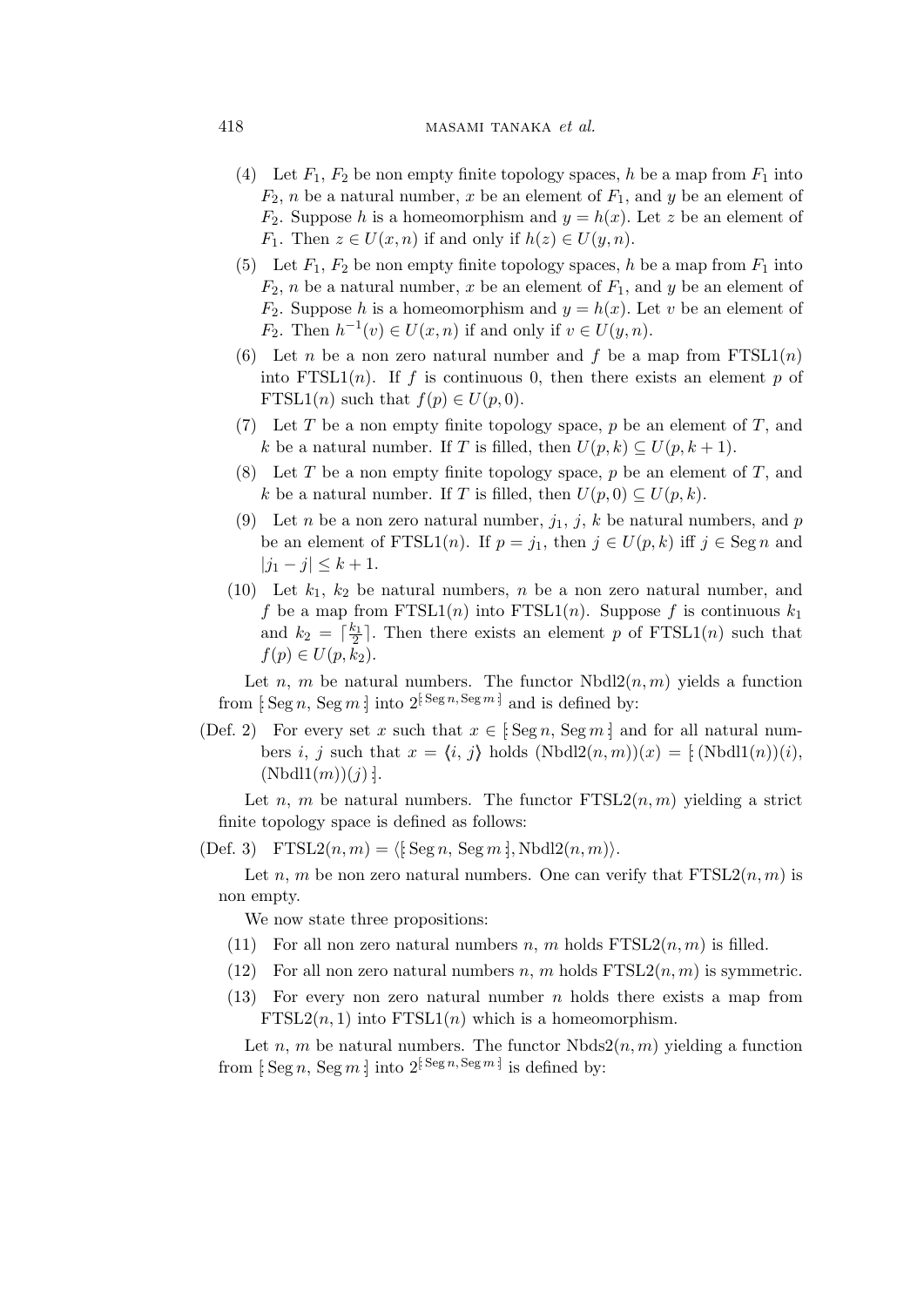## 418 masami tanàna mandritry ny taona 2008–2014. Ila

- (4) Let  $F_1$ ,  $F_2$  be non empty finite topology spaces, h be a map from  $F_1$  into  $F_2$ , *n* be a natural number, *x* be an element of  $F_1$ , and *y* be an element of  $F_2$ . Suppose h is a homeomorphism and  $y = h(x)$ . Let z be an element of  $F_1$ . Then  $z \in U(x, n)$  if and only if  $h(z) \in U(y, n)$ .
- (5) Let  $F_1$ ,  $F_2$  be non empty finite topology spaces, h be a map from  $F_1$  into  $F_2$ , n be a natural number, x be an element of  $F_1$ , and y be an element of  $F_2$ . Suppose h is a homeomorphism and  $y = h(x)$ . Let v be an element of  $F_2$ . Then  $h^{-1}(v) \in U(x, n)$  if and only if  $v \in U(y, n)$ .
- (6) Let n be a non zero natural number and f be a map from  $FTSL(1(n))$ into  $FTSL1(n)$ . If f is continuous 0, then there exists an element p of FTSL1(*n*) such that  $f(p) \in U(p, 0)$ .
- (7) Let T be a non empty finite topology space, p be an element of T, and k be a natural number. If T is filled, then  $U(p, k) \subseteq U(p, k + 1)$ .
- (8) Let T be a non empty finite topology space,  $p$  be an element of T, and k be a natural number. If T is filled, then  $U(p, 0) \subseteq U(p, k)$ .
- (9) Let n be a non zero natural number,  $j_1, j, k$  be natural numbers, and p be an element of FTSL1(n). If  $p = j_1$ , then  $j \in U(p, k)$  iff  $j \in \text{Seg } n$  and  $|j_1 - j| \leq k + 1.$
- (10) Let  $k_1$ ,  $k_2$  be natural numbers, n be a non zero natural number, and f be a map from  $FTSL1(n)$  into  $FTSL1(n)$ . Suppose f is continuous  $k_1$ and  $k_2 = \lceil \frac{k_1}{2} \rceil$  $\frac{\varepsilon_1}{2}$ . Then there exists an element p of FTSL1(n) such that  $f(p) \in U(p, k_2)$ .

Let n, m be natural numbers. The functor  $Nbdl2(n, m)$  yields a function from  $\left[\text{Seg } n, \text{Seg } m\right]$  into  $2^{\left[\text{Seg } n, \text{Seg } m\right]}$  and is defined by:

(Def. 2) For every set x such that  $x \in [\text{Seg } n, \text{Seg } m]$  and for all natural numbers i, j such that  $x = \langle i, j \rangle$  holds  $(Nbdl2(n, m))(x) = [Nbdl1(n))(i),$  $(Nbold1(m))(j)$ :

Let n, m be natural numbers. The functor  $FTSL2(n, m)$  yielding a strict finite topology space is defined as follows:

(Def. 3)  $\text{FTSL}(n, m) = \langle \mathfrak{i} \operatorname{Seg} n, \operatorname{Seg} m \mathfrak{j}, \text{Nbdl}(n, m) \rangle.$ 

Let n, m be non zero natural numbers. One can verify that  $FTSL2(n, m)$  is non empty.

We now state three propositions:

- (11) For all non zero natural numbers n, m holds  $FTSL2(n, m)$  is filled.
- (12) For all non zero natural numbers n, m holds  $FTSL2(n, m)$  is symmetric.
- (13) For every non zero natural number n holds there exists a map from  $FTSL2(n, 1)$  into  $FTSL1(n)$  which is a homeomorphism.

Let n, m be natural numbers. The functor  $Nbds2(n, m)$  yielding a function from  $\left[\operatorname{Seg} n, \operatorname{Seg} m\right]$  into  $2^{\left[\operatorname{Seg} n, \operatorname{Seg} m\right]}$  is defined by: